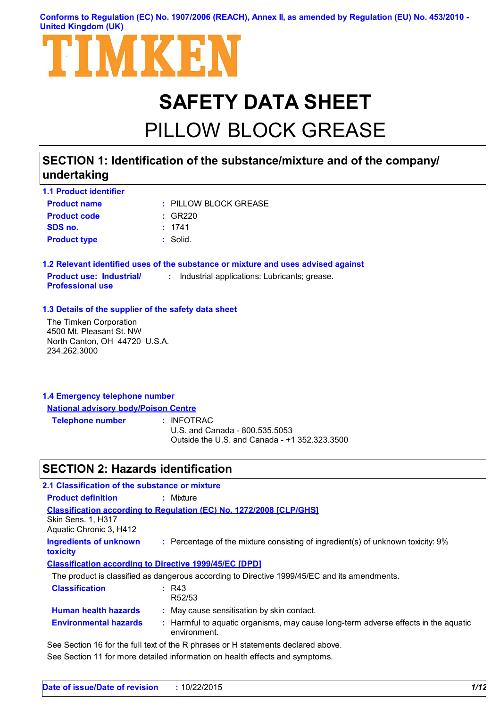**Conforms to Regulation (EC) No. 1907/2006 (REACH), Annex II, as amended by Regulation (EU) No. 453/2010 - United Kingdom (UK)**



# **SAFETY DATA SHEET**

## PILLOW BLOCK GREASE

### **SECTION 1: Identification of the substance/mixture and of the company/ undertaking**

| <b>1.1 Product identifier</b> |                            |
|-------------------------------|----------------------------|
| <b>Product name</b>           | $\pm$ PILLOW BLOCK GREASE. |
| <b>Product code</b>           | : GR220                    |
| SDS no.                       | : 1741                     |
| <b>Product type</b>           | : Solid.                   |

**1.2 Relevant identified uses of the substance or mixture and uses advised against Product use: Industrial/ Professional use :** Industrial applications: Lubricants; grease.

#### **1.3 Details of the supplier of the safety data sheet**

The Timken Corporation 4500 Mt. Pleasant St. NW North Canton, OH 44720 U.S.A. 234.262.3000

| 1.4 Emergency telephone number              |  |
|---------------------------------------------|--|
| <b>National advisory body/Poison Centre</b> |  |

**Telephone number :**

: INFOTRAC

U.S. and Canada - 800.535.5053 Outside the U.S. and Canada - +1 352.323.3500

#### **SECTION 2: Hazards identification**

| 2.1 Classification of the substance or mixture                |                                                                                                    |
|---------------------------------------------------------------|----------------------------------------------------------------------------------------------------|
| <b>Product definition</b>                                     | : Mixture                                                                                          |
| <b>Skin Sens. 1, H317</b><br>Aquatic Chronic 3, H412          | <b>Classification according to Regulation (EC) No. 1272/2008 [CLP/GHS]</b>                         |
| Ingredients of unknown<br><b>toxicity</b>                     | : Percentage of the mixture consisting of ingredient(s) of unknown toxicity: 9%                    |
| <b>Classification according to Directive 1999/45/EC [DPD]</b> |                                                                                                    |
|                                                               | The product is classified as dangerous according to Directive 1999/45/EC and its amendments.       |
| <b>Classification</b>                                         | R43<br>R52/53                                                                                      |
| <b>Human health hazards</b>                                   | : May cause sensitisation by skin contact.                                                         |
| <b>Environmental hazards</b>                                  | : Harmful to aquatic organisms, may cause long-term adverse effects in the aquatic<br>environment. |
|                                                               | See Section 16 for the full text of the R phrases or H statements declared above.                  |

See Section 11 for more detailed information on health effects and symptoms.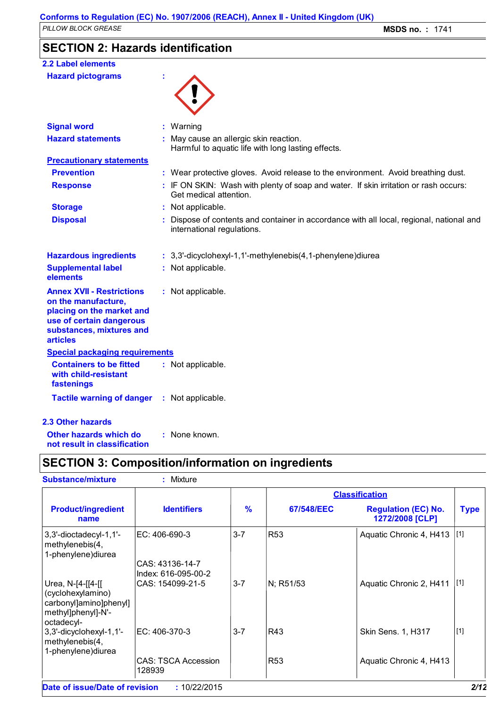### **SECTION 2: Hazards identification**

| <b>2.2 Label elements</b>                                                                                                                                       |                                                                                                                        |
|-----------------------------------------------------------------------------------------------------------------------------------------------------------------|------------------------------------------------------------------------------------------------------------------------|
| <b>Hazard pictograms</b>                                                                                                                                        |                                                                                                                        |
| <b>Signal word</b>                                                                                                                                              | : Warning                                                                                                              |
| <b>Hazard statements</b>                                                                                                                                        | : May cause an allergic skin reaction.<br>Harmful to aquatic life with long lasting effects.                           |
| <b>Precautionary statements</b>                                                                                                                                 |                                                                                                                        |
| <b>Prevention</b>                                                                                                                                               | : Wear protective gloves. Avoid release to the environment. Avoid breathing dust.                                      |
| <b>Response</b>                                                                                                                                                 | : IF ON SKIN: Wash with plenty of soap and water. If skin irritation or rash occurs:<br>Get medical attention.         |
| <b>Storage</b>                                                                                                                                                  | : Not applicable.                                                                                                      |
| <b>Disposal</b>                                                                                                                                                 | : Dispose of contents and container in accordance with all local, regional, national and<br>international regulations. |
| <b>Hazardous ingredients</b>                                                                                                                                    | : 3,3'-dicyclohexyl-1,1'-methylenebis(4,1-phenylene)diurea                                                             |
| <b>Supplemental label</b><br>elements                                                                                                                           | : Not applicable.                                                                                                      |
| <b>Annex XVII - Restrictions</b><br>on the manufacture,<br>placing on the market and<br>use of certain dangerous<br>substances, mixtures and<br><b>articles</b> | : Not applicable.                                                                                                      |
| <b>Special packaging requirements</b>                                                                                                                           |                                                                                                                        |
| <b>Containers to be fitted</b><br>with child-resistant<br>fastenings                                                                                            | : Not applicable.                                                                                                      |
| <b>Tactile warning of danger</b>                                                                                                                                | : Not applicable.                                                                                                      |
| <b>2.3 Other hazards</b>                                                                                                                                        |                                                                                                                        |
| Other hazards which do                                                                                                                                          | : None known.                                                                                                          |

**not result in classification**

### **SECTION 3: Composition/information on ingredients**

| <b>Substance/mixture</b>                                                                             | : Mixture                              |               |            |                                               |             |
|------------------------------------------------------------------------------------------------------|----------------------------------------|---------------|------------|-----------------------------------------------|-------------|
|                                                                                                      |                                        |               |            | <b>Classification</b>                         |             |
| <b>Product/ingredient</b><br>name                                                                    | <b>Identifiers</b>                     | $\frac{9}{6}$ | 67/548/EEC | <b>Regulation (EC) No.</b><br>1272/2008 [CLP] | <b>Type</b> |
| 3,3'-dioctadecyl-1,1'-<br>methylenebis(4,<br>1-phenylene) diurea                                     | EC: 406-690-3                          | $3 - 7$       | <b>R53</b> | Aquatic Chronic 4, H413                       | $[1]$       |
|                                                                                                      | CAS: 43136-14-7<br>Index: 616-095-00-2 |               |            |                                               |             |
| Urea, N-[4-[[4-[[<br>(cyclohexylamino)<br>carbonyl]amino]phenyl]<br>methyl]phenyl]-N'-<br>octadecyl- | CAS: 154099-21-5                       | $3 - 7$       | N; R51/53  | Aquatic Chronic 2, H411                       | $[1]$       |
| $3,3'-divclohexyl-1,1'-$<br>methylenebis(4,<br>1-phenylene) diurea                                   | IEC: 406-370-3                         | $3 - 7$       | R43        | Skin Sens. 1, H317                            | $[1]$       |
|                                                                                                      | <b>CAS: TSCA Accession</b><br>128939   |               | <b>R53</b> | Aquatic Chronic 4, H413                       |             |
| Date of issue/Date of revision                                                                       | : 10/22/2015                           |               |            |                                               | 2/12        |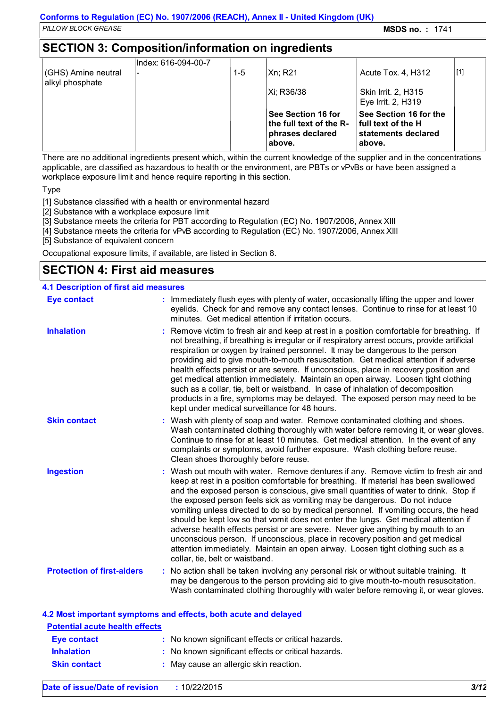#### **SECTION 3: Composition/information on ingredients**

|                                        | Index: 616-094-00-7 |     |                                                       |                                                     |     |
|----------------------------------------|---------------------|-----|-------------------------------------------------------|-----------------------------------------------------|-----|
| (GHS) Amine neutral<br>alkyl phosphate |                     | 1-5 | Xn: R21                                               | Acute Tox. 4, H312                                  | [1] |
|                                        |                     |     | Xi; R36/38                                            | Skin Irrit. 2, H315<br>Eye Irrit. 2, H319           |     |
|                                        |                     |     | See Section 16 for                                    | See Section 16 for the                              |     |
|                                        |                     |     | the full text of the R-<br>phrases declared<br>above. | full text of the H<br>statements declared<br>above. |     |
|                                        |                     |     |                                                       |                                                     |     |

There are no additional ingredients present which, within the current knowledge of the supplier and in the concentrations applicable, are classified as hazardous to health or the environment, are PBTs or vPvBs or have been assigned a workplace exposure limit and hence require reporting in this section.

Type

[1] Substance classified with a health or environmental hazard

[2] Substance with a workplace exposure limit

[3] Substance meets the criteria for PBT according to Regulation (EC) No. 1907/2006, Annex XIII

[4] Substance meets the criteria for vPvB according to Regulation (EC) No. 1907/2006, Annex XIII

[5] Substance of equivalent concern

Occupational exposure limits, if available, are listed in Section 8.

#### **SECTION 4: First aid measures**

| <b>4.1 Description of first aid measures</b> |                                                                                                                                                                                                                                                                                                                                                                                                                                                                                                                                                                                                                                                                                                                                                                                                                              |
|----------------------------------------------|------------------------------------------------------------------------------------------------------------------------------------------------------------------------------------------------------------------------------------------------------------------------------------------------------------------------------------------------------------------------------------------------------------------------------------------------------------------------------------------------------------------------------------------------------------------------------------------------------------------------------------------------------------------------------------------------------------------------------------------------------------------------------------------------------------------------------|
| <b>Eye contact</b>                           | : Immediately flush eyes with plenty of water, occasionally lifting the upper and lower<br>eyelids. Check for and remove any contact lenses. Continue to rinse for at least 10<br>minutes. Get medical attention if irritation occurs.                                                                                                                                                                                                                                                                                                                                                                                                                                                                                                                                                                                       |
| <b>Inhalation</b>                            | : Remove victim to fresh air and keep at rest in a position comfortable for breathing. If<br>not breathing, if breathing is irregular or if respiratory arrest occurs, provide artificial<br>respiration or oxygen by trained personnel. It may be dangerous to the person<br>providing aid to give mouth-to-mouth resuscitation. Get medical attention if adverse<br>health effects persist or are severe. If unconscious, place in recovery position and<br>get medical attention immediately. Maintain an open airway. Loosen tight clothing<br>such as a collar, tie, belt or waistband. In case of inhalation of decomposition<br>products in a fire, symptoms may be delayed. The exposed person may need to be<br>kept under medical surveillance for 48 hours.                                                       |
| <b>Skin contact</b>                          | : Wash with plenty of soap and water. Remove contaminated clothing and shoes.<br>Wash contaminated clothing thoroughly with water before removing it, or wear gloves.<br>Continue to rinse for at least 10 minutes. Get medical attention. In the event of any<br>complaints or symptoms, avoid further exposure. Wash clothing before reuse.<br>Clean shoes thoroughly before reuse.                                                                                                                                                                                                                                                                                                                                                                                                                                        |
| <b>Ingestion</b>                             | : Wash out mouth with water. Remove dentures if any. Remove victim to fresh air and<br>keep at rest in a position comfortable for breathing. If material has been swallowed<br>and the exposed person is conscious, give small quantities of water to drink. Stop if<br>the exposed person feels sick as vomiting may be dangerous. Do not induce<br>vomiting unless directed to do so by medical personnel. If vomiting occurs, the head<br>should be kept low so that vomit does not enter the lungs. Get medical attention if<br>adverse health effects persist or are severe. Never give anything by mouth to an<br>unconscious person. If unconscious, place in recovery position and get medical<br>attention immediately. Maintain an open airway. Loosen tight clothing such as a<br>collar, tie, belt or waistband. |
| <b>Protection of first-aiders</b>            | : No action shall be taken involving any personal risk or without suitable training. It<br>may be dangerous to the person providing aid to give mouth-to-mouth resuscitation.<br>Wash contaminated clothing thoroughly with water before removing it, or wear gloves.                                                                                                                                                                                                                                                                                                                                                                                                                                                                                                                                                        |

#### **4.2 Most important symptoms and effects, both acute and delayed**

| <b>Potential acute health effects</b> |                                                     |
|---------------------------------------|-----------------------------------------------------|
| Eye contact                           | : No known significant effects or critical hazards. |
| <b>Inhalation</b>                     | : No known significant effects or critical hazards. |
| <b>Skin contact</b>                   | : May cause an allergic skin reaction.              |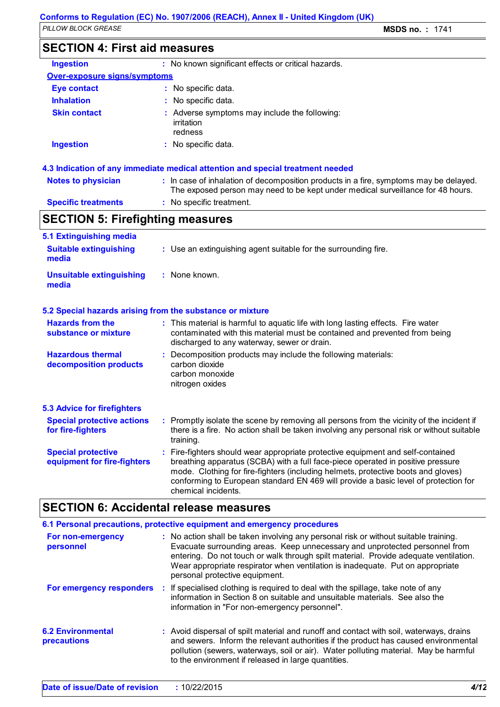*PILLOW BLOCK GREASE* **MSDS no. :** 1741

| <b>SECTION 4: First aid measures</b> |  |
|--------------------------------------|--|
|--------------------------------------|--|

| <b>Ingestion</b>                        | : No known significant effects or critical hazards.                                                                                                                      |
|-----------------------------------------|--------------------------------------------------------------------------------------------------------------------------------------------------------------------------|
| <b>Over-exposure signs/symptoms</b>     |                                                                                                                                                                          |
| Eye contact                             | : No specific data.                                                                                                                                                      |
| <b>Inhalation</b>                       | : No specific data.                                                                                                                                                      |
| <b>Skin contact</b>                     | : Adverse symptoms may include the following:<br>irritation<br>redness                                                                                                   |
| <b>Ingestion</b>                        | : No specific data.                                                                                                                                                      |
|                                         | 4.3 Indication of any immediate medical attention and special treatment needed                                                                                           |
| <b>Notes to physician</b>               | : In case of inhalation of decomposition products in a fire, symptoms may be delayed.<br>The exposed person may need to be kept under medical surveillance for 48 hours. |
| <b>Specific treatments</b>              | : No specific treatment.                                                                                                                                                 |
| <b>SECTION 5: Firefighting measures</b> |                                                                                                                                                                          |
| 5.1 Extinguishing media                 |                                                                                                                                                                          |
| <b>Cuitable oxtinguiching</b>           | . Llee an extinquiching agent suitable for the surrounding fire                                                                                                          |

| <b>Suitable extinguishing</b><br>media                   | : Use an extinguishing agent suitable for the surrounding fire.                                                                                                                                                                                                                                                                                                       |
|----------------------------------------------------------|-----------------------------------------------------------------------------------------------------------------------------------------------------------------------------------------------------------------------------------------------------------------------------------------------------------------------------------------------------------------------|
| <b>Unsuitable extinguishing</b><br>media                 | : None known.                                                                                                                                                                                                                                                                                                                                                         |
|                                                          | 5.2 Special hazards arising from the substance or mixture                                                                                                                                                                                                                                                                                                             |
| <b>Hazards from the</b><br>substance or mixture          | : This material is harmful to aquatic life with long lasting effects. Fire water<br>contaminated with this material must be contained and prevented from being<br>discharged to any waterway, sewer or drain.                                                                                                                                                         |
| <b>Hazardous thermal</b><br>decomposition products       | : Decomposition products may include the following materials:<br>carbon dioxide<br>carbon monoxide<br>nitrogen oxides                                                                                                                                                                                                                                                 |
| <b>5.3 Advice for firefighters</b>                       |                                                                                                                                                                                                                                                                                                                                                                       |
| <b>Special protective actions</b><br>for fire-fighters   | : Promptly isolate the scene by removing all persons from the vicinity of the incident if<br>there is a fire. No action shall be taken involving any personal risk or without suitable<br>training.                                                                                                                                                                   |
| <b>Special protective</b><br>equipment for fire-fighters | : Fire-fighters should wear appropriate protective equipment and self-contained<br>breathing apparatus (SCBA) with a full face-piece operated in positive pressure<br>mode. Clothing for fire-fighters (including helmets, protective boots and gloves)<br>conforming to European standard EN 469 will provide a basic level of protection for<br>chemical incidents. |

## **SECTION 6: Accidental release measures**

| 6.1 Personal precautions, protective equipment and emergency procedures |  |                                                                                                                                                                                                                                                                                                                                                                                 |  |
|-------------------------------------------------------------------------|--|---------------------------------------------------------------------------------------------------------------------------------------------------------------------------------------------------------------------------------------------------------------------------------------------------------------------------------------------------------------------------------|--|
| For non-emergency<br>personnel                                          |  | : No action shall be taken involving any personal risk or without suitable training.<br>Evacuate surrounding areas. Keep unnecessary and unprotected personnel from<br>entering. Do not touch or walk through spilt material. Provide adequate ventilation.<br>Wear appropriate respirator when ventilation is inadequate. Put on appropriate<br>personal protective equipment. |  |
| For emergency responders                                                |  | : If specialised clothing is required to deal with the spillage, take note of any<br>information in Section 8 on suitable and unsuitable materials. See also the<br>information in "For non-emergency personnel".                                                                                                                                                               |  |
| <b>6.2 Environmental</b><br><b>precautions</b>                          |  | : Avoid dispersal of spilt material and runoff and contact with soil, waterways, drains<br>and sewers. Inform the relevant authorities if the product has caused environmental<br>pollution (sewers, waterways, soil or air). Water polluting material. May be harmful<br>to the environment if released in large quantities.                                                   |  |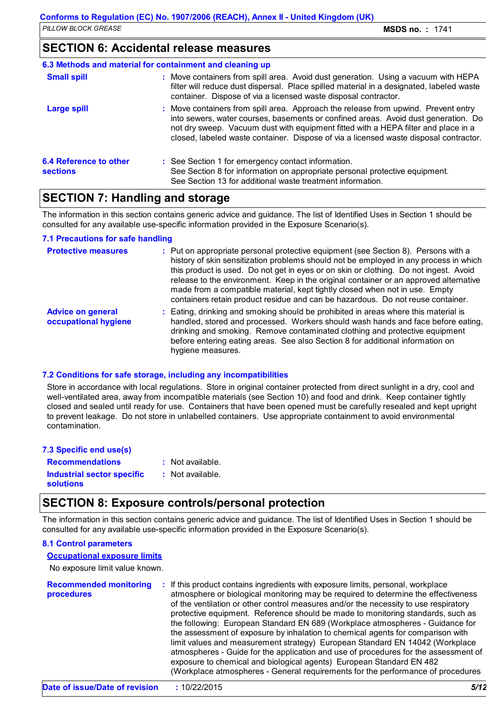#### **SECTION 6: Accidental release measures**

|                                           | 6.3 Methods and material for containment and cleaning up                                                                                                                                                                                                                                                                                                |
|-------------------------------------------|---------------------------------------------------------------------------------------------------------------------------------------------------------------------------------------------------------------------------------------------------------------------------------------------------------------------------------------------------------|
| <b>Small spill</b>                        | : Move containers from spill area. Avoid dust generation. Using a vacuum with HEPA<br>filter will reduce dust dispersal. Place spilled material in a designated, labeled waste<br>container. Dispose of via a licensed waste disposal contractor.                                                                                                       |
| <b>Large spill</b>                        | : Move containers from spill area. Approach the release from upwind. Prevent entry<br>into sewers, water courses, basements or confined areas. Avoid dust generation. Do<br>not dry sweep. Vacuum dust with equipment fitted with a HEPA filter and place in a<br>closed, labeled waste container. Dispose of via a licensed waste disposal contractor. |
| 6.4 Reference to other<br><b>sections</b> | : See Section 1 for emergency contact information.<br>See Section 8 for information on appropriate personal protective equipment.<br>See Section 13 for additional waste treatment information.                                                                                                                                                         |

#### **SECTION 7: Handling and storage**

The information in this section contains generic advice and guidance. The list of Identified Uses in Section 1 should be consulted for any available use-specific information provided in the Exposure Scenario(s).

#### **7.1 Precautions for safe handling**

| <b>Protective measures</b>                       | : Put on appropriate personal protective equipment (see Section 8). Persons with a<br>history of skin sensitization problems should not be employed in any process in which<br>this product is used. Do not get in eyes or on skin or clothing. Do not ingest. Avoid<br>release to the environment. Keep in the original container or an approved alternative<br>made from a compatible material, kept tightly closed when not in use. Empty<br>containers retain product residue and can be hazardous. Do not reuse container. |
|--------------------------------------------------|---------------------------------------------------------------------------------------------------------------------------------------------------------------------------------------------------------------------------------------------------------------------------------------------------------------------------------------------------------------------------------------------------------------------------------------------------------------------------------------------------------------------------------|
| <b>Advice on general</b><br>occupational hygiene | : Eating, drinking and smoking should be prohibited in areas where this material is<br>handled, stored and processed. Workers should wash hands and face before eating,<br>drinking and smoking. Remove contaminated clothing and protective equipment<br>before entering eating areas. See also Section 8 for additional information on<br>hygiene measures.                                                                                                                                                                   |

#### **7.2 Conditions for safe storage, including any incompatibilities**

Store in accordance with local regulations. Store in original container protected from direct sunlight in a dry, cool and well-ventilated area, away from incompatible materials (see Section 10) and food and drink. Keep container tightly closed and sealed until ready for use. Containers that have been opened must be carefully resealed and kept upright to prevent leakage. Do not store in unlabelled containers. Use appropriate containment to avoid environmental contamination.

| 7.3 Specific end use(s)           |                    |
|-----------------------------------|--------------------|
| <b>Recommendations</b>            | $:$ Not available. |
| <b>Industrial sector specific</b> | : Not available.   |
| <b>solutions</b>                  |                    |

#### **SECTION 8: Exposure controls/personal protection**

The information in this section contains generic advice and guidance. The list of Identified Uses in Section 1 should be consulted for any available use-specific information provided in the Exposure Scenario(s).

#### **8.1 Control parameters**

#### **Occupational exposure limits**

No exposure limit value known.

| <b>Recommended monitoring</b><br>procedures | : If this product contains ingredients with exposure limits, personal, workplace<br>atmosphere or biological monitoring may be required to determine the effectiveness<br>of the ventilation or other control measures and/or the necessity to use respiratory<br>protective equipment. Reference should be made to monitoring standards, such as<br>the following: European Standard EN 689 (Workplace atmospheres - Guidance for<br>the assessment of exposure by inhalation to chemical agents for comparison with<br>limit values and measurement strategy) European Standard EN 14042 (Workplace<br>atmospheres - Guide for the application and use of procedures for the assessment of<br>exposure to chemical and biological agents) European Standard EN 482<br>(Workplace atmospheres - General requirements for the performance of procedures |
|---------------------------------------------|---------------------------------------------------------------------------------------------------------------------------------------------------------------------------------------------------------------------------------------------------------------------------------------------------------------------------------------------------------------------------------------------------------------------------------------------------------------------------------------------------------------------------------------------------------------------------------------------------------------------------------------------------------------------------------------------------------------------------------------------------------------------------------------------------------------------------------------------------------|
|---------------------------------------------|---------------------------------------------------------------------------------------------------------------------------------------------------------------------------------------------------------------------------------------------------------------------------------------------------------------------------------------------------------------------------------------------------------------------------------------------------------------------------------------------------------------------------------------------------------------------------------------------------------------------------------------------------------------------------------------------------------------------------------------------------------------------------------------------------------------------------------------------------------|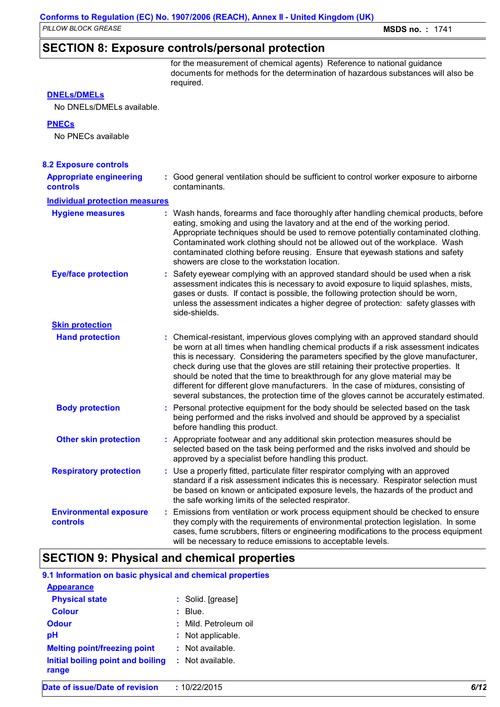|                                                  |    | <b>SECTION 8: Exposure controls/personal protection</b>                                                                                                                                                                                                                                                                                                                                                                                                                                                                                                                                                                |
|--------------------------------------------------|----|------------------------------------------------------------------------------------------------------------------------------------------------------------------------------------------------------------------------------------------------------------------------------------------------------------------------------------------------------------------------------------------------------------------------------------------------------------------------------------------------------------------------------------------------------------------------------------------------------------------------|
|                                                  |    | for the measurement of chemical agents) Reference to national guidance<br>documents for methods for the determination of hazardous substances will also be<br>required.                                                                                                                                                                                                                                                                                                                                                                                                                                                |
| <b>DNELS/DMELS</b><br>No DNELs/DMELs available.  |    |                                                                                                                                                                                                                                                                                                                                                                                                                                                                                                                                                                                                                        |
| <b>PNECs</b><br>No PNECs available               |    |                                                                                                                                                                                                                                                                                                                                                                                                                                                                                                                                                                                                                        |
| <b>8.2 Exposure controls</b>                     |    |                                                                                                                                                                                                                                                                                                                                                                                                                                                                                                                                                                                                                        |
| <b>Appropriate engineering</b><br>controls       |    | : Good general ventilation should be sufficient to control worker exposure to airborne<br>contaminants.                                                                                                                                                                                                                                                                                                                                                                                                                                                                                                                |
| <b>Individual protection measures</b>            |    |                                                                                                                                                                                                                                                                                                                                                                                                                                                                                                                                                                                                                        |
| <b>Hygiene measures</b>                          |    | : Wash hands, forearms and face thoroughly after handling chemical products, before<br>eating, smoking and using the lavatory and at the end of the working period.<br>Appropriate techniques should be used to remove potentially contaminated clothing.<br>Contaminated work clothing should not be allowed out of the workplace. Wash<br>contaminated clothing before reusing. Ensure that eyewash stations and safety<br>showers are close to the workstation location.                                                                                                                                            |
| <b>Eye/face protection</b>                       |    | : Safety eyewear complying with an approved standard should be used when a risk<br>assessment indicates this is necessary to avoid exposure to liquid splashes, mists,<br>gases or dusts. If contact is possible, the following protection should be worn,<br>unless the assessment indicates a higher degree of protection: safety glasses with<br>side-shields.                                                                                                                                                                                                                                                      |
| <b>Skin protection</b>                           |    |                                                                                                                                                                                                                                                                                                                                                                                                                                                                                                                                                                                                                        |
| <b>Hand protection</b>                           |    | : Chemical-resistant, impervious gloves complying with an approved standard should<br>be worn at all times when handling chemical products if a risk assessment indicates<br>this is necessary. Considering the parameters specified by the glove manufacturer,<br>check during use that the gloves are still retaining their protective properties. It<br>should be noted that the time to breakthrough for any glove material may be<br>different for different glove manufacturers. In the case of mixtures, consisting of<br>several substances, the protection time of the gloves cannot be accurately estimated. |
| <b>Body protection</b>                           |    | : Personal protective equipment for the body should be selected based on the task<br>being performed and the risks involved and should be approved by a specialist<br>before handling this product.                                                                                                                                                                                                                                                                                                                                                                                                                    |
| <b>Other skin protection</b>                     |    | : Appropriate footwear and any additional skin protection measures should be<br>selected based on the task being performed and the risks involved and should be<br>approved by a specialist before handling this product.                                                                                                                                                                                                                                                                                                                                                                                              |
| <b>Respiratory protection</b>                    |    | : Use a properly fitted, particulate filter respirator complying with an approved<br>standard if a risk assessment indicates this is necessary. Respirator selection must<br>be based on known or anticipated exposure levels, the hazards of the product and<br>the safe working limits of the selected respirator.                                                                                                                                                                                                                                                                                                   |
| <b>Environmental exposure</b><br><b>controls</b> | ÷. | Emissions from ventilation or work process equipment should be checked to ensure<br>they comply with the requirements of environmental protection legislation. In some<br>cases, fume scrubbers, filters or engineering modifications to the process equipment<br>will be necessary to reduce emissions to acceptable levels.                                                                                                                                                                                                                                                                                          |

## **SECTION 9: Physical and chemical properties**

| 9.1 Information on basic physical and chemical properties<br><b>Appearance</b> |                          |      |
|--------------------------------------------------------------------------------|--------------------------|------|
| <b>Physical state</b>                                                          | : Solid. [grease]        |      |
| <b>Colour</b>                                                                  | $\therefore$ Blue.       |      |
| <b>Odour</b>                                                                   | Mild. Petroleum oil<br>÷ |      |
| pH                                                                             | Not applicable.<br>÷     |      |
| <b>Melting point/freezing point</b>                                            | $:$ Not available.       |      |
| Initial boiling point and boiling<br>range                                     | Not available.<br>÷      |      |
| Date of issue/Date of revision                                                 | : 10/22/2015             | 6/12 |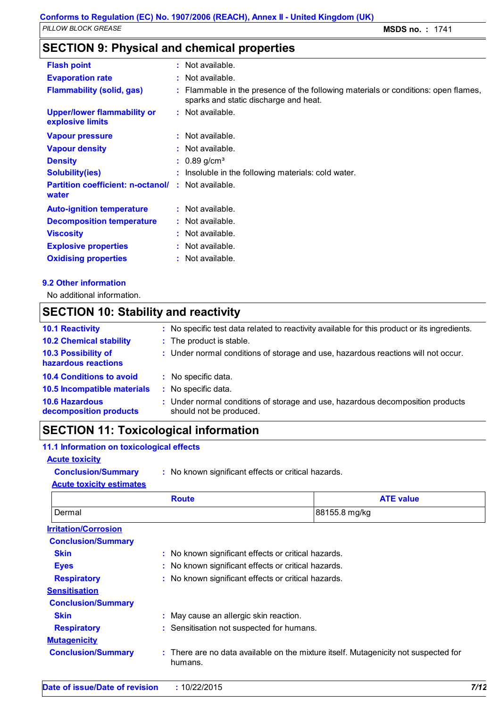### **SECTION 9: Physical and chemical properties**

| <b>Flash point</b>                                     | $:$ Not available.                                                                                                        |
|--------------------------------------------------------|---------------------------------------------------------------------------------------------------------------------------|
| <b>Evaporation rate</b>                                | $:$ Not available.                                                                                                        |
| <b>Flammability (solid, gas)</b>                       | Flammable in the presence of the following materials or conditions: open flames,<br>sparks and static discharge and heat. |
| <b>Upper/lower flammability or</b><br>explosive limits | $:$ Not available.                                                                                                        |
| <b>Vapour pressure</b>                                 | $:$ Not available.                                                                                                        |
| <b>Vapour density</b>                                  | $:$ Not available.                                                                                                        |
| <b>Density</b>                                         | $: 0.89$ g/cm <sup>3</sup>                                                                                                |
| <b>Solubility(ies)</b>                                 | Insoluble in the following materials: cold water.                                                                         |
| <b>Partition coefficient: n-octanol/</b><br>water      | Not available.                                                                                                            |
| <b>Auto-ignition temperature</b>                       | $:$ Not available.                                                                                                        |
| <b>Decomposition temperature</b>                       | : Not available.                                                                                                          |
| <b>Viscosity</b>                                       | Not available.                                                                                                            |
| <b>Explosive properties</b>                            | $:$ Not available.                                                                                                        |
| <b>Oxidising properties</b>                            | Not available.                                                                                                            |
|                                                        |                                                                                                                           |

#### **9.2 Other information**

No additional information.

### **SECTION 10: Stability and reactivity**

| <b>10.1 Reactivity</b>                            | : No specific test data related to reactivity available for this product or its ingredients.              |
|---------------------------------------------------|-----------------------------------------------------------------------------------------------------------|
| <b>10.2 Chemical stability</b>                    | : The product is stable.                                                                                  |
| <b>10.3 Possibility of</b><br>hazardous reactions | : Under normal conditions of storage and use, hazardous reactions will not occur.                         |
| <b>10.4 Conditions to avoid</b>                   | : No specific data.                                                                                       |
| 10.5 Incompatible materials                       | : No specific data.                                                                                       |
| <b>10.6 Hazardous</b><br>decomposition products   | : Under normal conditions of storage and use, hazardous decomposition products<br>should not be produced. |

## **SECTION 11: Toxicological information**

| 11.1 Information on toxicological effects |                                                     |                                                                                     |  |  |
|-------------------------------------------|-----------------------------------------------------|-------------------------------------------------------------------------------------|--|--|
| <b>Acute toxicity</b>                     |                                                     |                                                                                     |  |  |
| <b>Conclusion/Summary</b>                 | : No known significant effects or critical hazards. |                                                                                     |  |  |
| <b>Acute toxicity estimates</b>           |                                                     |                                                                                     |  |  |
|                                           | <b>Route</b>                                        | <b>ATE value</b>                                                                    |  |  |
| Dermal                                    |                                                     | 88155.8 mg/kg                                                                       |  |  |
| <b>Irritation/Corrosion</b>               |                                                     |                                                                                     |  |  |
| <b>Conclusion/Summary</b>                 |                                                     |                                                                                     |  |  |
| <b>Skin</b>                               | : No known significant effects or critical hazards. |                                                                                     |  |  |
| <b>Eyes</b>                               | : No known significant effects or critical hazards. |                                                                                     |  |  |
| <b>Respiratory</b>                        | : No known significant effects or critical hazards. |                                                                                     |  |  |
| <b>Sensitisation</b>                      |                                                     |                                                                                     |  |  |
| <b>Conclusion/Summary</b>                 |                                                     |                                                                                     |  |  |
| <b>Skin</b>                               | : May cause an allergic skin reaction.              |                                                                                     |  |  |
| <b>Respiratory</b>                        | : Sensitisation not suspected for humans.           |                                                                                     |  |  |
| <b>Mutagenicity</b>                       |                                                     |                                                                                     |  |  |
| <b>Conclusion/Summary</b>                 | humans.                                             | : There are no data available on the mixture itself. Mutagenicity not suspected for |  |  |
|                                           |                                                     |                                                                                     |  |  |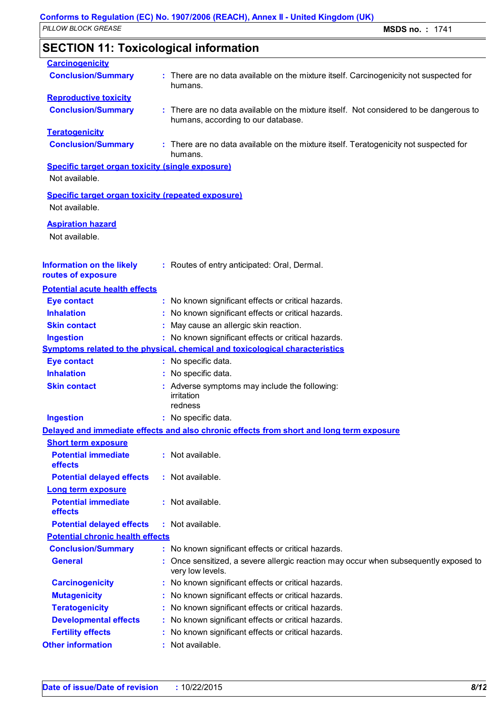### **SECTION 11: Toxicological information**

| <b>Carcinogenicity</b>                                    |                                                                                                                              |
|-----------------------------------------------------------|------------------------------------------------------------------------------------------------------------------------------|
| <b>Conclusion/Summary</b>                                 | : There are no data available on the mixture itself. Carcinogenicity not suspected for<br>humans.                            |
| <b>Reproductive toxicity</b>                              |                                                                                                                              |
| <b>Conclusion/Summary</b>                                 | : There are no data available on the mixture itself. Not considered to be dangerous to<br>humans, according to our database. |
| <b>Teratogenicity</b>                                     |                                                                                                                              |
| <b>Conclusion/Summary</b>                                 | : There are no data available on the mixture itself. Teratogenicity not suspected for<br>humans.                             |
| <b>Specific target organ toxicity (single exposure)</b>   |                                                                                                                              |
| Not available.                                            |                                                                                                                              |
| <b>Specific target organ toxicity (repeated exposure)</b> |                                                                                                                              |
| Not available.                                            |                                                                                                                              |
| <b>Aspiration hazard</b>                                  |                                                                                                                              |
| Not available.                                            |                                                                                                                              |
|                                                           |                                                                                                                              |
| <b>Information on the likely</b><br>routes of exposure    | : Routes of entry anticipated: Oral, Dermal.                                                                                 |
| <b>Potential acute health effects</b>                     |                                                                                                                              |
| <b>Eye contact</b>                                        | : No known significant effects or critical hazards.                                                                          |
| <b>Inhalation</b>                                         | : No known significant effects or critical hazards.                                                                          |
| <b>Skin contact</b>                                       | : May cause an allergic skin reaction.                                                                                       |
| <b>Ingestion</b>                                          | : No known significant effects or critical hazards.                                                                          |
|                                                           | <b>Symptoms related to the physical, chemical and toxicological characteristics</b>                                          |
| <b>Eye contact</b>                                        | : No specific data.                                                                                                          |
| <b>Inhalation</b>                                         | : No specific data.                                                                                                          |
| <b>Skin contact</b>                                       | : Adverse symptoms may include the following:<br>irritation<br>redness                                                       |
| <b>Ingestion</b>                                          | : No specific data.                                                                                                          |
|                                                           | Delayed and immediate effects and also chronic effects from short and long term exposure                                     |
| <b>Short term exposure</b>                                |                                                                                                                              |
| <b>Potential immediate</b><br>effects                     | : Not available.                                                                                                             |
| <b>Potential delayed effects</b>                          | : Not available.                                                                                                             |
| <b>Long term exposure</b>                                 |                                                                                                                              |
| <b>Potential immediate</b><br>effects                     | : Not available.                                                                                                             |
| <b>Potential delayed effects</b>                          | : Not available.                                                                                                             |
| <b>Potential chronic health effects</b>                   |                                                                                                                              |
| <b>Conclusion/Summary</b>                                 | : No known significant effects or critical hazards.                                                                          |
| <b>General</b>                                            | Once sensitized, a severe allergic reaction may occur when subsequently exposed to<br>very low levels.                       |
| <b>Carcinogenicity</b>                                    | : No known significant effects or critical hazards.                                                                          |
| <b>Mutagenicity</b>                                       | No known significant effects or critical hazards.                                                                            |
| <b>Teratogenicity</b>                                     | No known significant effects or critical hazards.                                                                            |
| <b>Developmental effects</b>                              | : No known significant effects or critical hazards.                                                                          |
| <b>Fertility effects</b>                                  | : No known significant effects or critical hazards.                                                                          |
| <b>Other information</b>                                  | : Not available.                                                                                                             |
|                                                           |                                                                                                                              |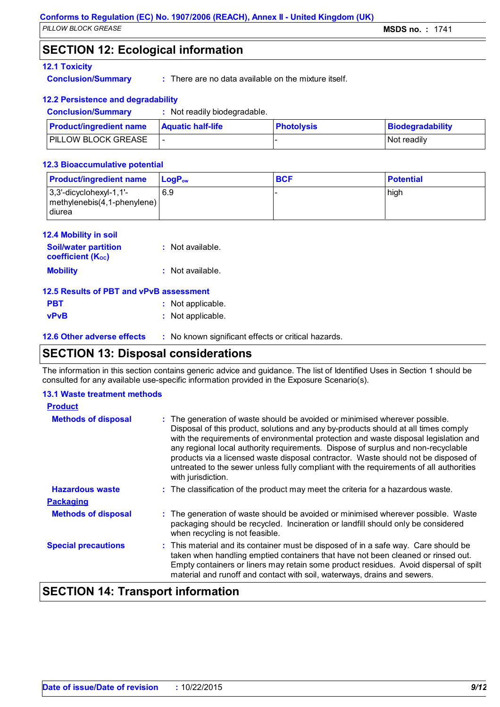### **SECTION 12: Ecological information**

#### **12.1 Toxicity**

**Conclusion/Summary :** There are no data available on the mixture itself.

#### **12.2 Persistence and degradability**

| <b>Conclusion/Summary</b>      | : Not readily biodegradable. |                   |                  |
|--------------------------------|------------------------------|-------------------|------------------|
| <b>Product/ingredient name</b> | <b>Aquatic half-life</b>     | <b>Photolysis</b> | Biodegradability |
| PILLOW BLOCK GREASE            |                              |                   | Not readily      |

#### **12.3 Bioaccumulative potential**

| <b>Product/ingredient name</b>                                               | $\mathsf{LocP}_\mathsf{ow}$ | <b>BCF</b> | <b>Potential</b> |
|------------------------------------------------------------------------------|-----------------------------|------------|------------------|
| $ 3,3'-divc$ dicyclohexyl-1,1'-<br>  methylenebis(4,1-phenylene)  <br>diurea | 6.9                         |            | high             |

#### **12.4 Mobility in soil**

| <b>Soil/water partition</b><br><b>coefficient (Koc)</b> | : Not available.   |
|---------------------------------------------------------|--------------------|
| <b>Mobility</b>                                         | $:$ Not available. |

| 12.5 Results of PBT and vPvB assessment |  |                   |
|-----------------------------------------|--|-------------------|
| <b>PBT</b>                              |  | : Not applicable. |
| <b>vPvB</b>                             |  | : Not applicable. |

**12.6 Other adverse effects** : No known significant effects or critical hazards.

#### **SECTION 13: Disposal considerations**

The information in this section contains generic advice and guidance. The list of Identified Uses in Section 1 should be consulted for any available use-specific information provided in the Exposure Scenario(s).

#### **13.1 Waste treatment methods**

| <b>Product</b>             |                                                                                                                                                                                                                                                                                                                                                                                                                                                                                                                                                     |
|----------------------------|-----------------------------------------------------------------------------------------------------------------------------------------------------------------------------------------------------------------------------------------------------------------------------------------------------------------------------------------------------------------------------------------------------------------------------------------------------------------------------------------------------------------------------------------------------|
| <b>Methods of disposal</b> | : The generation of waste should be avoided or minimised wherever possible.<br>Disposal of this product, solutions and any by-products should at all times comply<br>with the requirements of environmental protection and waste disposal legislation and<br>any regional local authority requirements. Dispose of surplus and non-recyclable<br>products via a licensed waste disposal contractor. Waste should not be disposed of<br>untreated to the sewer unless fully compliant with the requirements of all authorities<br>with jurisdiction. |
| <b>Hazardous waste</b>     | : The classification of the product may meet the criteria for a hazardous waste.                                                                                                                                                                                                                                                                                                                                                                                                                                                                    |
| <b>Packaging</b>           |                                                                                                                                                                                                                                                                                                                                                                                                                                                                                                                                                     |
| <b>Methods of disposal</b> | : The generation of waste should be avoided or minimised wherever possible. Waste<br>packaging should be recycled. Incineration or landfill should only be considered<br>when recycling is not feasible.                                                                                                                                                                                                                                                                                                                                            |
| <b>Special precautions</b> | : This material and its container must be disposed of in a safe way. Care should be<br>taken when handling emptied containers that have not been cleaned or rinsed out.<br>Empty containers or liners may retain some product residues. Avoid dispersal of spilt<br>material and runoff and contact with soil, waterways, drains and sewers.                                                                                                                                                                                                        |
| APATIALI <i>I I</i>        |                                                                                                                                                                                                                                                                                                                                                                                                                                                                                                                                                     |

#### **SECTION 14: Transport information**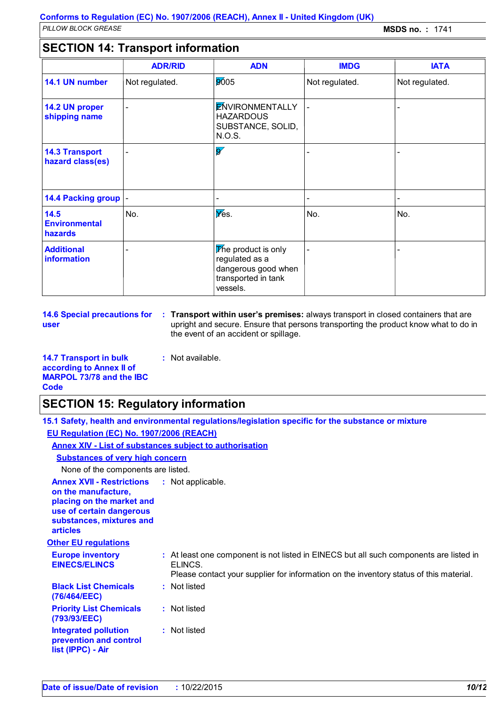### **SECTION 14: Transport information**

|                                           | <b>ADR/RID</b> | <b>ADN</b>                                                                                             | <b>IMDG</b>    | <b>IATA</b>    |
|-------------------------------------------|----------------|--------------------------------------------------------------------------------------------------------|----------------|----------------|
| 14.1 UN number                            | Not regulated. | 9005                                                                                                   | Not regulated. | Not regulated. |
| 14.2 UN proper<br>shipping name           |                | <b>ENVIRONMENTALLY</b><br><b>HAZARDOUS</b><br>SUBSTANCE, SOLID,<br>N.O.S.                              |                |                |
| <b>14.3 Transport</b><br>hazard class(es) |                | $\overline{\mathbf{S}}$                                                                                |                |                |
| <b>14.4 Packing group</b>                 |                | $\overline{\phantom{0}}$                                                                               |                |                |
| 14.5<br><b>Environmental</b><br>hazards   | No.            | Yes.                                                                                                   | No.            | No.            |
| <b>Additional</b><br>information          |                | $\sqrt{V}$ product is only<br>regulated as a<br>dangerous good when<br>transported in tank<br>vessels. |                |                |

**14.6 Special precautions for user**

**Transport within user's premises:** always transport in closed containers that are **:** upright and secure. Ensure that persons transporting the product know what to do in the event of an accident or spillage.

**14.7 Transport in bulk according to Annex II of MARPOL 73/78 and the IBC Code**

### **SECTION 15: Regulatory information**

**:** Not available.

|                                                                                                                                                                                   | 15.1 Safety, health and environmental regulations/legislation specific for the substance or mixture                                                                                         |  |  |
|-----------------------------------------------------------------------------------------------------------------------------------------------------------------------------------|---------------------------------------------------------------------------------------------------------------------------------------------------------------------------------------------|--|--|
| EU Regulation (EC) No. 1907/2006 (REACH)                                                                                                                                          |                                                                                                                                                                                             |  |  |
|                                                                                                                                                                                   | <b>Annex XIV - List of substances subject to authorisation</b>                                                                                                                              |  |  |
| <b>Substances of very high concern</b>                                                                                                                                            |                                                                                                                                                                                             |  |  |
| None of the components are listed.                                                                                                                                                |                                                                                                                                                                                             |  |  |
| <b>Annex XVII - Restrictions : Not applicable.</b><br>on the manufacture,<br>placing on the market and<br>use of certain dangerous<br>substances, mixtures and<br><b>articles</b> |                                                                                                                                                                                             |  |  |
| <b>Other EU regulations</b>                                                                                                                                                       |                                                                                                                                                                                             |  |  |
| <b>Europe inventory</b><br><b>EINECS/ELINCS</b>                                                                                                                                   | : At least one component is not listed in EINECS but all such components are listed in<br>ELINCS.<br>Please contact your supplier for information on the inventory status of this material. |  |  |
| <b>Black List Chemicals</b><br>(76/464/EEC)                                                                                                                                       | : Not listed                                                                                                                                                                                |  |  |
| <b>Priority List Chemicals</b><br>(793/93/EEC)                                                                                                                                    | : Not listed                                                                                                                                                                                |  |  |
| <b>Integrated pollution</b><br>prevention and control<br>list (IPPC) - Air                                                                                                        | : Not listed                                                                                                                                                                                |  |  |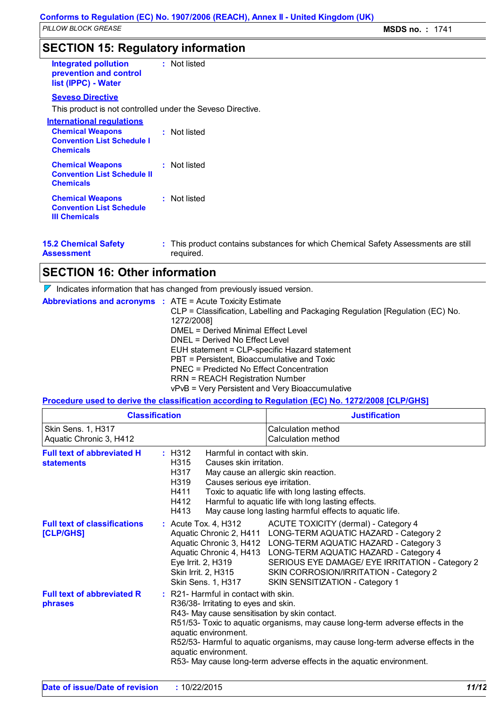### **SECTION 15: Regulatory information**

| <b>Integrated pollution</b><br>prevention and control<br>list (IPPC) - Water       | : Not listed                                                                                    |
|------------------------------------------------------------------------------------|-------------------------------------------------------------------------------------------------|
| <b>Seveso Directive</b>                                                            |                                                                                                 |
| This product is not controlled under the Seveso Directive.                         |                                                                                                 |
| <b>International regulations</b>                                                   |                                                                                                 |
| <b>Chemical Weapons</b><br><b>Convention List Schedule I</b><br><b>Chemicals</b>   | : Not listed                                                                                    |
| <b>Chemical Weapons</b><br><b>Convention List Schedule II</b><br><b>Chemicals</b>  | : Not listed                                                                                    |
| <b>Chemical Weapons</b><br><b>Convention List Schedule</b><br><b>III Chemicals</b> | : Not listed                                                                                    |
| <b>15.2 Chemical Safety</b><br>Assessment                                          | : This product contains substances for which Chemical Safety Assessments are still<br>required. |

### **SECTION 16: Other information**

|  | $\nabla$ Indicates information that has changed from previously issued version.                                                                                                                                                                                                                                                                                                       |
|--|---------------------------------------------------------------------------------------------------------------------------------------------------------------------------------------------------------------------------------------------------------------------------------------------------------------------------------------------------------------------------------------|
|  | <b>Abbreviations and acronyms : ATE = Acute Toxicity Estimate</b><br>CLP = Classification, Labelling and Packaging Regulation [Regulation (EC) No.<br>1272/2008]<br>DMEL = Derived Minimal Effect Level<br>DNEL = Derived No Effect Level<br>EUH statement = CLP-specific Hazard statement<br>PBT = Persistent, Bioaccumulative and Toxic<br>PNEC = Predicted No Effect Concentration |
|  | <b>RRN = REACH Registration Number</b><br>vPvB = Very Persistent and Very Bioaccumulative                                                                                                                                                                                                                                                                                             |

**Procedure used to derive the classification according to Regulation (EC) No. 1272/2008 [CLP/GHS]**

| <b>Classification</b>                                  |                                                                                                                                                                               | <b>Justification</b>                                                                                                                                                                                                                                                                                                                                                                                |
|--------------------------------------------------------|-------------------------------------------------------------------------------------------------------------------------------------------------------------------------------|-----------------------------------------------------------------------------------------------------------------------------------------------------------------------------------------------------------------------------------------------------------------------------------------------------------------------------------------------------------------------------------------------------|
| Skin Sens. 1, H317<br>Aquatic Chronic 3, H412          |                                                                                                                                                                               | Calculation method<br>Calculation method                                                                                                                                                                                                                                                                                                                                                            |
| <b>Full text of abbreviated H</b><br><b>statements</b> | : H312<br>Harmful in contact with skin.<br>H <sub>315</sub><br>Causes skin irritation.<br>H317<br>H319<br>Causes serious eye irritation.<br>H411<br>H412<br>H413              | May cause an allergic skin reaction.<br>Toxic to aquatic life with long lasting effects.<br>Harmful to aquatic life with long lasting effects.<br>May cause long lasting harmful effects to aquatic life.                                                                                                                                                                                           |
| <b>Full text of classifications</b><br>[CLP/GHS]       | Eye Irrit. 2, H319<br>Skin Irrit. 2, H315<br>Skin Sens. 1, H317                                                                                                               | : Acute Tox. 4, H312 ACUTE TOXICITY (dermal) - Category 4<br>Aquatic Chronic 2, H411 LONG-TERM AQUATIC HAZARD - Category 2<br>Aquatic Chronic 3, H412 LONG-TERM AQUATIC HAZARD - Category 3<br>Aquatic Chronic 4, H413 LONG-TERM AQUATIC HAZARD - Category 4<br>SERIOUS EYE DAMAGE/ EYE IRRITATION - Category 2<br>SKIN CORROSION/IRRITATION - Category 2<br><b>SKIN SENSITIZATION - Category 1</b> |
| <b>Full text of abbreviated R</b><br>phrases           | : R21- Harmful in contact with skin.<br>R36/38- Irritating to eyes and skin.<br>R43- May cause sensitisation by skin contact.<br>aquatic environment.<br>aquatic environment. | R51/53- Toxic to aquatic organisms, may cause long-term adverse effects in the<br>R52/53- Harmful to aquatic organisms, may cause long-term adverse effects in the<br>R53- May cause long-term adverse effects in the aquatic environment.                                                                                                                                                          |